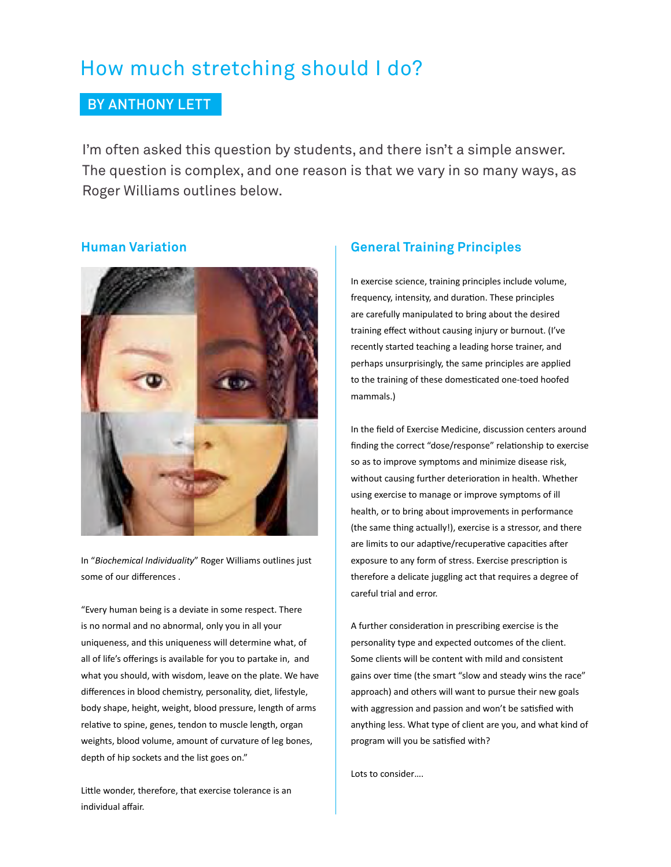# How much stretching should I do?

# BY ANTHONY LETT

I'm often asked this question by students, and there isn't a simple answer. The question is complex, and one reason is that we vary in so many ways, as Roger Williams outlines below.

### **Human Variation**



In "*Biochemical Individuality*" Roger Williams outlines just some of our differences .

"Every human being is a deviate in some respect. There is no normal and no abnormal, only you in all your uniqueness, and this uniqueness will determine what, of all of life's offerings is available for you to partake in, and what you should, with wisdom, leave on the plate. We have differences in blood chemistry, personality, diet, lifestyle, body shape, height, weight, blood pressure, length of arms relative to spine, genes, tendon to muscle length, organ weights, blood volume, amount of curvature of leg bones, depth of hip sockets and the list goes on."

Little wonder, therefore, that exercise tolerance is an individual affair.

# **General Training Principles**

In exercise science, training principles include volume, frequency, intensity, and duration. These principles are carefully manipulated to bring about the desired training effect without causing injury or burnout. (I've recently started teaching a leading horse trainer, and perhaps unsurprisingly, the same principles are applied to the training of these domesticated one-toed hoofed mammals.)

In the field of Exercise Medicine, discussion centers around finding the correct "dose/response" relationship to exercise so as to improve symptoms and minimize disease risk, without causing further deterioration in health. Whether using exercise to manage or improve symptoms of ill health, or to bring about improvements in performance (the same thing actually!), exercise is a stressor, and there are limits to our adaptive/recuperative capacities after exposure to any form of stress. Exercise prescription is therefore a delicate juggling act that requires a degree of careful trial and error.

A further consideration in prescribing exercise is the personality type and expected outcomes of the client. Some clients will be content with mild and consistent gains over time (the smart "slow and steady wins the race" approach) and others will want to pursue their new goals with aggression and passion and won't be satisfied with anything less. What type of client are you, and what kind of program will you be satisfied with?

Lots to consider….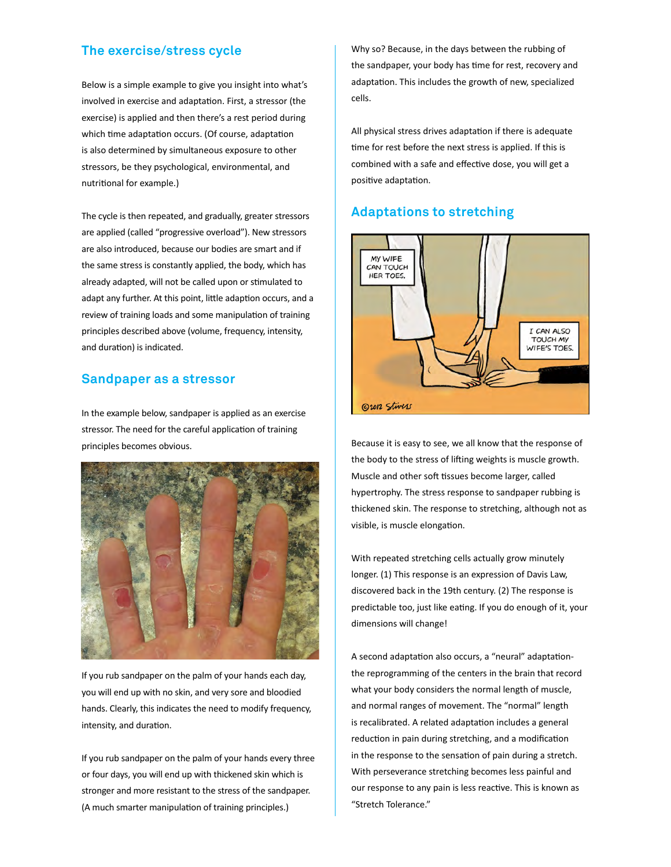#### **The exercise/stress cycle**

Below is a simple example to give you insight into what's involved in exercise and adaptation. First, a stressor (the exercise) is applied and then there's a rest period during which time adaptation occurs. (Of course, adaptation is also determined by simultaneous exposure to other stressors, be they psychological, environmental, and nutritional for example.)

The cycle is then repeated, and gradually, greater stressors are applied (called "progressive overload"). New stressors are also introduced, because our bodies are smart and if the same stress is constantly applied, the body, which has already adapted, will not be called upon or stimulated to adapt any further. At this point, little adaption occurs, and a review of training loads and some manipulation of training principles described above (volume, frequency, intensity, and duration) is indicated.

#### **Sandpaper as a stressor**

In the example below, sandpaper is applied as an exercise stressor. The need for the careful application of training principles becomes obvious.



If you rub sandpaper on the palm of your hands each day, you will end up with no skin, and very sore and bloodied hands. Clearly, this indicates the need to modify frequency, intensity, and duration.

If you rub sandpaper on the palm of your hands every three or four days, you will end up with thickened skin which is stronger and more resistant to the stress of the sandpaper. (A much smarter manipulation of training principles.)

Why so? Because, in the days between the rubbing of the sandpaper, your body has time for rest, recovery and adaptation. This includes the growth of new, specialized cells.

All physical stress drives adaptation if there is adequate time for rest before the next stress is applied. If this is combined with a safe and effective dose, you will get a positive adaptation.

#### **Adaptations to stretching**



Because it is easy to see, we all know that the response of the body to the stress of lifting weights is muscle growth. Muscle and other soft tissues become larger, called hypertrophy. The stress response to sandpaper rubbing is thickened skin. The response to stretching, although not as visible, is muscle elongation.

With repeated stretching cells actually grow minutely longer. (1) This response is an expression of Davis Law, discovered back in the 19th century. (2) The response is predictable too, just like eating. If you do enough of it, your dimensions will change!

A second adaptation also occurs, a "neural" adaptationthe reprogramming of the centers in the brain that record what your body considers the normal length of muscle, and normal ranges of movement. The "normal" length is recalibrated. A related adaptation includes a general reduction in pain during stretching, and a modification in the response to the sensation of pain during a stretch. With perseverance stretching becomes less painful and our response to any pain is less reactive. This is known as "Stretch Tolerance."